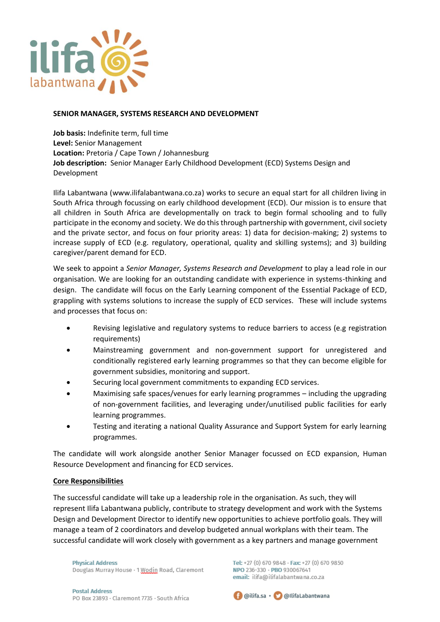

## **SENIOR MANAGER, SYSTEMS RESEARCH AND DEVELOPMENT**

**Job basis:** Indefinite term, full time **Level:** Senior Management **Location:** Pretoria / Cape Town / Johannesburg **Job description:** Senior Manager Early Childhood Development (ECD) Systems Design and Development

Ilifa Labantwana [\(www.ilifalabantwana.co.za\)](http://www.ilifalabantwana.co.za/) works to secure an equal start for all children living in South Africa through focussing on early childhood development (ECD). Our mission is to ensure that all children in South Africa are developmentally on track to begin formal schooling and to fully participate in the economy and society. We do this through partnership with government, civil society and the private sector, and focus on four priority areas: 1) data for decision-making; 2) systems to increase supply of ECD (e.g. regulatory, operational, quality and skilling systems); and 3) building caregiver/parent demand for ECD.

We seek to appoint a *Senior Manager, Systems Research and Development* to play a lead role in our organisation. We are looking for an outstanding candidate with experience in systems-thinking and design. The candidate will focus on the Early Learning component of the Essential Package of ECD, grappling with systems solutions to increase the supply of ECD services. These will include systems and processes that focus on:

- Revising legislative and regulatory systems to reduce barriers to access (e.g registration requirements)
- Mainstreaming government and non-government support for unregistered and conditionally registered early learning programmes so that they can become eligible for government subsidies, monitoring and support.
- Securing local government commitments to expanding ECD services.
- Maximising safe spaces/venues for early learning programmes including the upgrading of non-government facilities, and leveraging under/unutilised public facilities for early learning programmes.
- Testing and iterating a national Quality Assurance and Support System for early learning programmes.

The candidate will work alongside another Senior Manager focussed on ECD expansion, Human Resource Development and financing for ECD services.

## **Core Responsibilities**

The successful candidate will take up a leadership role in the organisation. As such, they will represent Ilifa Labantwana publicly, contribute to strategy development and work with the Systems Design and Development Director to identify new opportunities to achieve portfolio goals. They will manage a team of 2 coordinators and develop budgeted annual workplans with their team. The successful candidate will work closely with government as a key partners and manage government

**Physical Address** Douglas Murray House · 1 Wodin Road, Claremont Tel: +27 (0) 670 9848 · Fax: +27 (0) 670 9850 NPO 236-330 · PBO 930067641 email: ilifa@ilifalabantwana.co.za

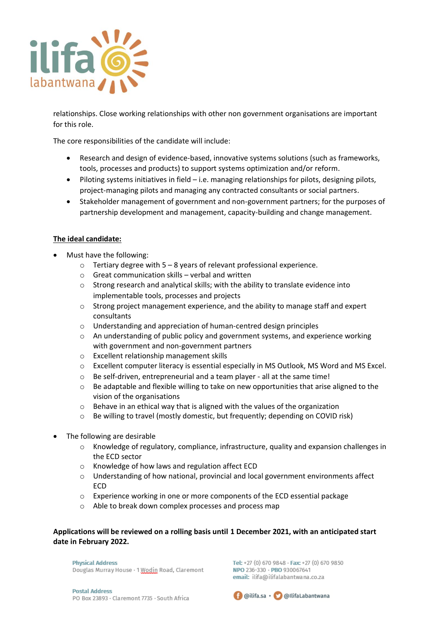

relationships. Close working relationships with other non government organisations are important for this role.

The core responsibilities of the candidate will include:

- Research and design of evidence-based, innovative systems solutions (such as frameworks, tools, processes and products) to support systems optimization and/or reform.
- Piloting systems initiatives in field i.e. managing relationships for pilots, designing pilots, project-managing pilots and managing any contracted consultants or social partners.
- Stakeholder management of government and non-government partners; for the purposes of partnership development and management, capacity-building and change management.

## **The ideal candidate:**

- Must have the following:
	- $\circ$  Tertiary degree with 5 8 years of relevant professional experience.
	- $\circ$  Great communication skills verbal and written
	- o Strong research and analytical skills; with the ability to translate evidence into implementable tools, processes and projects
	- $\circ$  Strong project management experience, and the ability to manage staff and expert consultants
	- o Understanding and appreciation of human-centred design principles
	- $\circ$  An understanding of public policy and government systems, and experience working with government and non-government partners
	- o Excellent relationship management skills
	- o Excellent computer literacy is essential especially in MS Outlook, MS Word and MS Excel.
	- o Be self-driven, entrepreneurial and a team player all at the same time!
	- $\circ$  Be adaptable and flexible willing to take on new opportunities that arise aligned to the vision of the organisations
	- $\circ$  Behave in an ethical way that is aligned with the values of the organization
	- o Be willing to travel (mostly domestic, but frequently; depending on COVID risk)
- The following are desirable
	- o Knowledge of regulatory, compliance, infrastructure, quality and expansion challenges in the ECD sector
	- o Knowledge of how laws and regulation affect ECD
	- o Understanding of how national, provincial and local government environments affect ECD
	- o Experience working in one or more components of the ECD essential package
	- o Able to break down complex processes and process map

## **Applications will be reviewed on a rolling basis until 1 December 2021, with an anticipated start date in February 2022.**

**Physical Address** Douglas Murray House · 1 Wodin Road, Claremont

Tel: +27 (0) 670 9848 · Fax: +27 (0) 670 9850 NPO 236-330 · PBO 930067641 email: ilifa@ilifalabantwana.co.za

**Postal Address** PO Box 23893 - Claremont 7735 - South Africa